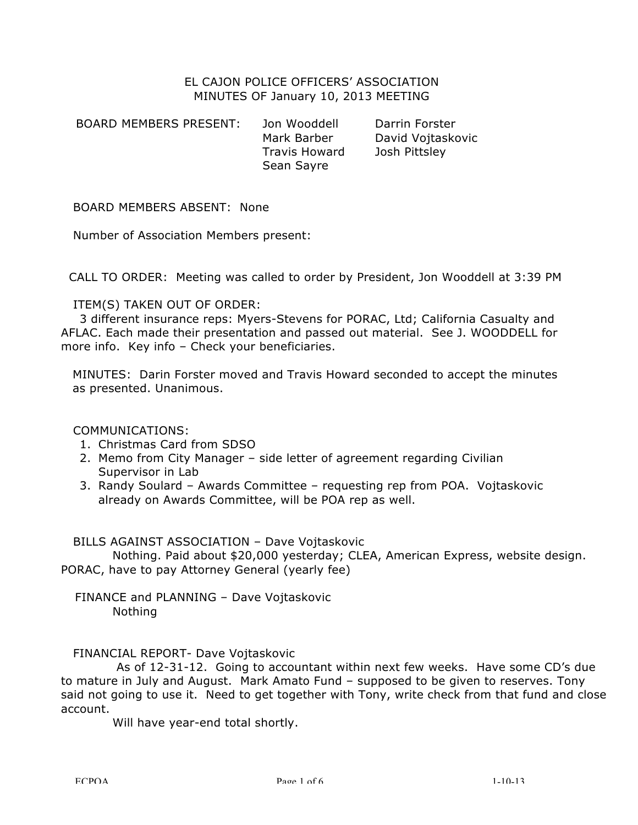# EL CAJON POLICE OFFICERS' ASSOCIATION MINUTES OF January 10, 2013 MEETING

 BOARD MEMBERS PRESENT: Jon Wooddell Darrin Forster Travis Howard Josh Pittsley Sean Sayre

David Vojtaskovic

BOARD MEMBERS ABSENT: None

Number of Association Members present:

CALL TO ORDER: Meeting was called to order by President, Jon Wooddell at 3:39 PM

ITEM(S) TAKEN OUT OF ORDER:

3 different insurance reps: Myers-Stevens for PORAC, Ltd; California Casualty and AFLAC. Each made their presentation and passed out material. See J. WOODDELL for more info. Key info – Check your beneficiaries.

MINUTES: Darin Forster moved and Travis Howard seconded to accept the minutes as presented. Unanimous.

# COMMUNICATIONS:

- 1. Christmas Card from SDSO
- 2. Memo from City Manager side letter of agreement regarding Civilian Supervisor in Lab
- 3. Randy Soulard Awards Committee requesting rep from POA. Vojtaskovic already on Awards Committee, will be POA rep as well.

BILLS AGAINST ASSOCIATION – Dave Vojtaskovic

Nothing. Paid about \$20,000 yesterday; CLEA, American Express, website design. PORAC, have to pay Attorney General (yearly fee)

FINANCE and PLANNING – Dave Vojtaskovic Nothing

FINANCIAL REPORT- Dave Vojtaskovic

As of 12-31-12. Going to accountant within next few weeks. Have some CD's due to mature in July and August. Mark Amato Fund – supposed to be given to reserves. Tony said not going to use it. Need to get together with Tony, write check from that fund and close account.

Will have year-end total shortly.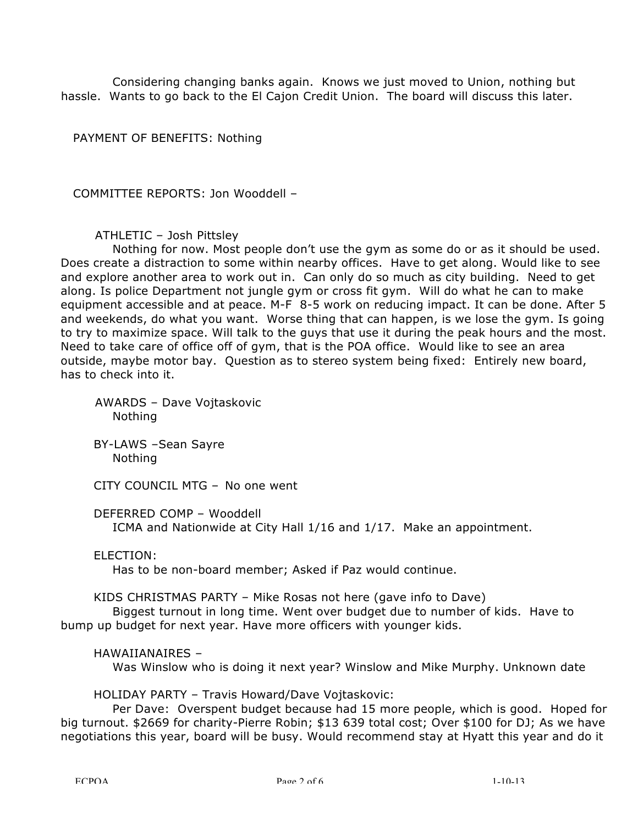Considering changing banks again. Knows we just moved to Union, nothing but hassle. Wants to go back to the El Cajon Credit Union. The board will discuss this later.

PAYMENT OF BENEFITS: Nothing

COMMITTEE REPORTS: Jon Wooddell –

# ATHLETIC – Josh Pittsley

Nothing for now. Most people don't use the gym as some do or as it should be used. Does create a distraction to some within nearby offices. Have to get along. Would like to see and explore another area to work out in. Can only do so much as city building. Need to get along. Is police Department not jungle gym or cross fit gym. Will do what he can to make equipment accessible and at peace. M-F 8-5 work on reducing impact. It can be done. After 5 and weekends, do what you want. Worse thing that can happen, is we lose the gym. Is going to try to maximize space. Will talk to the guys that use it during the peak hours and the most. Need to take care of office off of gym, that is the POA office. Would like to see an area outside, maybe motor bay. Question as to stereo system being fixed: Entirely new board, has to check into it.

 AWARDS – Dave Vojtaskovic Nothing

BY-LAWS –Sean Sayre Nothing

CITY COUNCIL MTG – No one went

DEFERRED COMP – Wooddell

ICMA and Nationwide at City Hall 1/16 and 1/17. Make an appointment.

## ELECTION:

Has to be non-board member; Asked if Paz would continue.

#### KIDS CHRISTMAS PARTY – Mike Rosas not here (gave info to Dave)

Biggest turnout in long time. Went over budget due to number of kids. Have to bump up budget for next year. Have more officers with younger kids.

## HAWAIIANAIRES –

Was Winslow who is doing it next year? Winslow and Mike Murphy. Unknown date

#### HOLIDAY PARTY – Travis Howard/Dave Vojtaskovic:

Per Dave: Overspent budget because had 15 more people, which is good. Hoped for big turnout. \$2669 for charity-Pierre Robin; \$13 639 total cost; Over \$100 for DJ; As we have negotiations this year, board will be busy. Would recommend stay at Hyatt this year and do it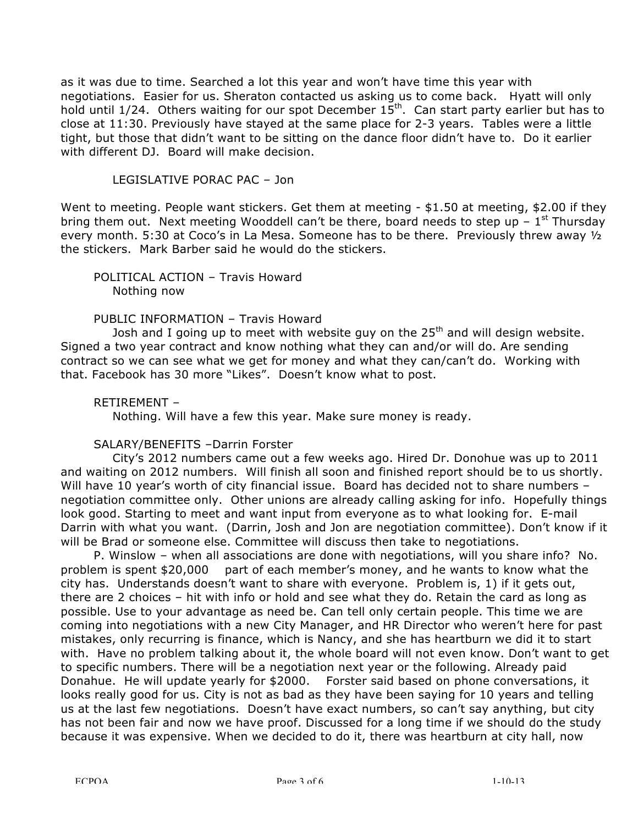as it was due to time. Searched a lot this year and won't have time this year with negotiations. Easier for us. Sheraton contacted us asking us to come back. Hyatt will only hold until  $1/24$ . Others waiting for our spot December  $15<sup>th</sup>$ . Can start party earlier but has to close at 11:30. Previously have stayed at the same place for 2-3 years. Tables were a little tight, but those that didn't want to be sitting on the dance floor didn't have to. Do it earlier with different DJ. Board will make decision.

# LEGISLATIVE PORAC PAC – Jon

Went to meeting. People want stickers. Get them at meeting - \$1.50 at meeting, \$2.00 if they bring them out. Next meeting Wooddell can't be there, board needs to step up  $-1^{st}$  Thursday every month. 5:30 at Coco's in La Mesa. Someone has to be there. Previously threw away ½ the stickers. Mark Barber said he would do the stickers.

POLITICAL ACTION – Travis Howard Nothing now

PUBLIC INFORMATION – Travis Howard

Josh and I going up to meet with website guy on the  $25<sup>th</sup>$  and will design website. Signed a two year contract and know nothing what they can and/or will do. Are sending contract so we can see what we get for money and what they can/can't do. Working with that. Facebook has 30 more "Likes". Doesn't know what to post.

RETIREMENT – Nothing. Will have a few this year. Make sure money is ready.

SALARY/BENEFITS –Darrin Forster

City's 2012 numbers came out a few weeks ago. Hired Dr. Donohue was up to 2011 and waiting on 2012 numbers. Will finish all soon and finished report should be to us shortly. Will have 10 year's worth of city financial issue. Board has decided not to share numbers negotiation committee only. Other unions are already calling asking for info. Hopefully things look good. Starting to meet and want input from everyone as to what looking for. E-mail Darrin with what you want. (Darrin, Josh and Jon are negotiation committee). Don't know if it will be Brad or someone else. Committee will discuss then take to negotiations.

P. Winslow – when all associations are done with negotiations, will you share info? No. problem is spent \$20,000 part of each member's money, and he wants to know what the city has. Understands doesn't want to share with everyone. Problem is, 1) if it gets out, there are 2 choices – hit with info or hold and see what they do. Retain the card as long as possible. Use to your advantage as need be. Can tell only certain people. This time we are coming into negotiations with a new City Manager, and HR Director who weren't here for past mistakes, only recurring is finance, which is Nancy, and she has heartburn we did it to start with. Have no problem talking about it, the whole board will not even know. Don't want to get to specific numbers. There will be a negotiation next year or the following. Already paid Donahue. He will update yearly for \$2000. Forster said based on phone conversations, it looks really good for us. City is not as bad as they have been saying for 10 years and telling us at the last few negotiations. Doesn't have exact numbers, so can't say anything, but city has not been fair and now we have proof. Discussed for a long time if we should do the study because it was expensive. When we decided to do it, there was heartburn at city hall, now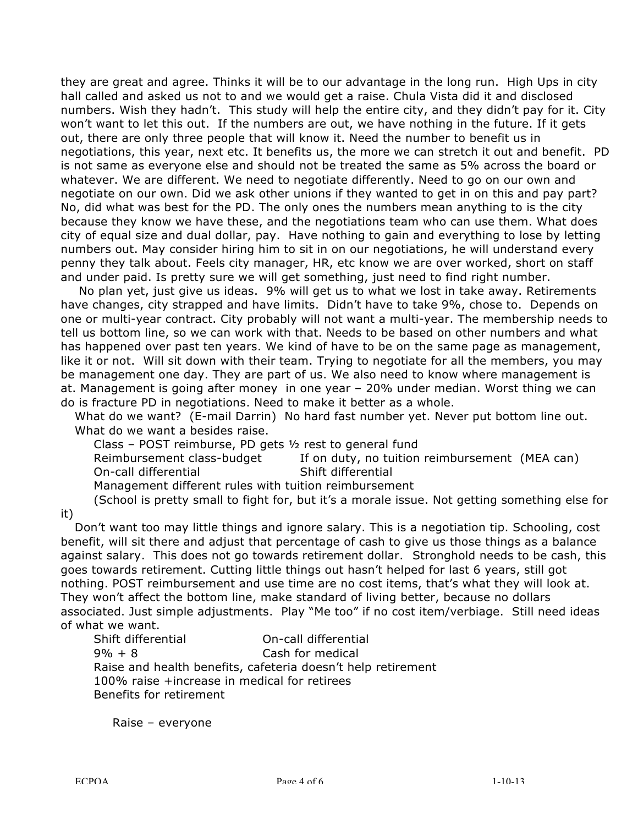they are great and agree. Thinks it will be to our advantage in the long run. High Ups in city hall called and asked us not to and we would get a raise. Chula Vista did it and disclosed numbers. Wish they hadn't. This study will help the entire city, and they didn't pay for it. City won't want to let this out. If the numbers are out, we have nothing in the future. If it gets out, there are only three people that will know it. Need the number to benefit us in negotiations, this year, next etc. It benefits us, the more we can stretch it out and benefit. PD is not same as everyone else and should not be treated the same as 5% across the board or whatever. We are different. We need to negotiate differently. Need to go on our own and negotiate on our own. Did we ask other unions if they wanted to get in on this and pay part? No, did what was best for the PD. The only ones the numbers mean anything to is the city because they know we have these, and the negotiations team who can use them. What does city of equal size and dual dollar, pay. Have nothing to gain and everything to lose by letting numbers out. May consider hiring him to sit in on our negotiations, he will understand every penny they talk about. Feels city manager, HR, etc know we are over worked, short on staff and under paid. Is pretty sure we will get something, just need to find right number.

No plan yet, just give us ideas. 9% will get us to what we lost in take away. Retirements have changes, city strapped and have limits. Didn't have to take 9%, chose to. Depends on one or multi-year contract. City probably will not want a multi-year. The membership needs to tell us bottom line, so we can work with that. Needs to be based on other numbers and what has happened over past ten years. We kind of have to be on the same page as management, like it or not. Will sit down with their team. Trying to negotiate for all the members, you may be management one day. They are part of us. We also need to know where management is at. Management is going after money in one year – 20% under median. Worst thing we can do is fracture PD in negotiations. Need to make it better as a whole.

What do we want? (E-mail Darrin) No hard fast number yet. Never put bottom line out. What do we want a besides raise.

Class – POST reimburse, PD gets ½ rest to general fund

Reimbursement class-budget If on duty, no tuition reimbursement (MEA can)

On-call differential Shift differential

Management different rules with tuition reimbursement

(School is pretty small to fight for, but it's a morale issue. Not getting something else for it)

Don't want too may little things and ignore salary. This is a negotiation tip. Schooling, cost benefit, will sit there and adjust that percentage of cash to give us those things as a balance against salary. This does not go towards retirement dollar. Stronghold needs to be cash, this goes towards retirement. Cutting little things out hasn't helped for last 6 years, still got nothing. POST reimbursement and use time are no cost items, that's what they will look at. They won't affect the bottom line, make standard of living better, because no dollars associated. Just simple adjustments. Play "Me too" if no cost item/verbiage. Still need ideas of what we want.

| Shift differential                           | On-call differential                                         |
|----------------------------------------------|--------------------------------------------------------------|
| $9\% + 8$                                    | Cash for medical                                             |
|                                              | Raise and health benefits, cafeteria doesn't help retirement |
| 100% raise +increase in medical for retirees |                                                              |
| Benefits for retirement                      |                                                              |

Raise – everyone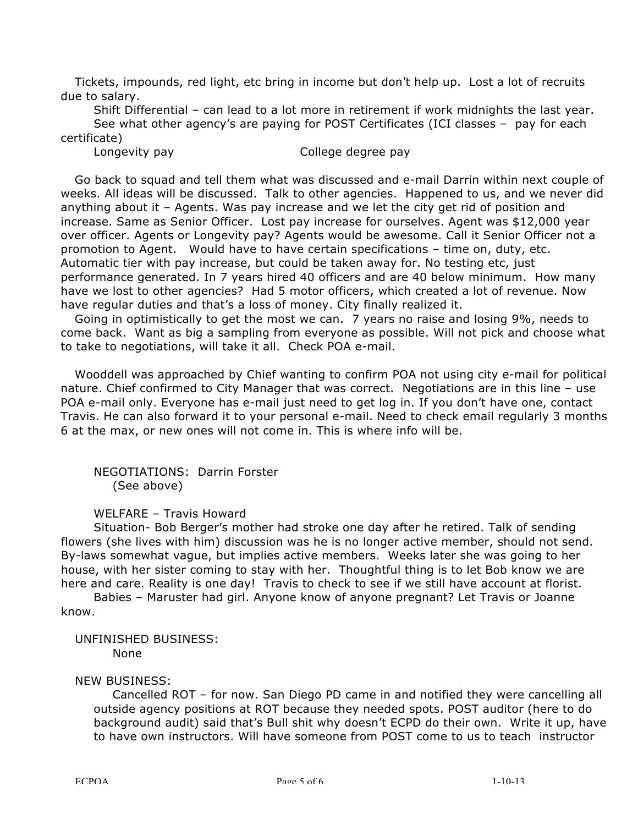Tickets, impounds, red light, etc bring in income but don't help up. Lost a lot of recruits due to salary.

Shift Differential – can lead to a lot more in retirement if work midnights the last year. See what other agency's are paying for POST Certificates (ICI classes – pay for each certificate)

Longevity pay **College degree pay** 

Go back to squad and tell them what was discussed and e-mail Darrin within next couple of weeks. All ideas will be discussed. Talk to other agencies. Happened to us, and we never did anything about it – Agents. Was pay increase and we let the city get rid of position and increase. Same as Senior Officer. Lost pay increase for ourselves. Agent was \$12,000 year over officer. Agents or Longevity pay? Agents would be awesome. Call it Senior Officer not a promotion to Agent. Would have to have certain specifications – time on, duty, etc. Automatic tier with pay increase, but could be taken away for. No testing etc, just performance generated. In 7 years hired 40 officers and are 40 below minimum. How many have we lost to other agencies? Had 5 motor officers, which created a lot of revenue. Now have regular duties and that's a loss of money. City finally realized it.

Going in optimistically to get the most we can. 7 years no raise and losing 9%, needs to come back. Want as big a sampling from everyone as possible. Will not pick and choose what to take to negotiations, will take it all. Check POA e-mail.

Wooddell was approached by Chief wanting to confirm POA not using city e-mail for political nature. Chief confirmed to City Manager that was correct. Negotiations are in this line – use POA e-mail only. Everyone has e-mail just need to get log in. If you don't have one, contact Travis. He can also forward it to your personal e-mail. Need to check email regularly 3 months 6 at the max, or new ones will not come in. This is where info will be.

## NEGOTIATIONS: Darrin Forster (See above)

## WELFARE – Travis Howard

Situation- Bob Berger's mother had stroke one day after he retired. Talk of sending flowers (she lives with him) discussion was he is no longer active member, should not send. By-laws somewhat vague, but implies active members. Weeks later she was going to her house, with her sister coming to stay with her. Thoughtful thing is to let Bob know we are here and care. Reality is one day! Travis to check to see if we still have account at florist.

Babies – Maruster had girl. Anyone know of anyone pregnant? Let Travis or Joanne know.

# UNFINISHED BUSINESS:

None

# NEW BUSINESS:

Cancelled ROT – for now. San Diego PD came in and notified they were cancelling all outside agency positions at ROT because they needed spots. POST auditor (here to do background audit) said that's Bull shit why doesn't ECPD do their own. Write it up, have to have own instructors. Will have someone from POST come to us to teach instructor